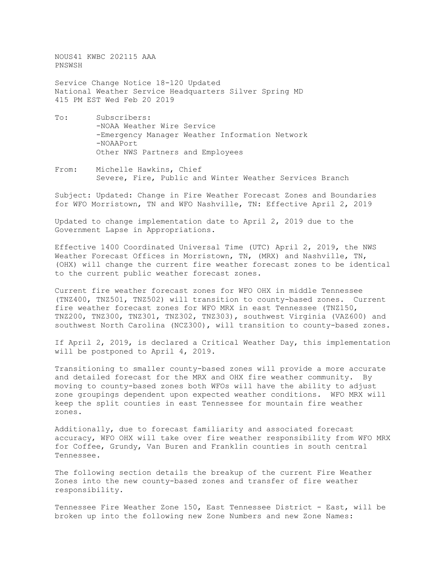NOUS41 KWBC 202115 AAA PNSWSH

Service Change Notice 18-120 Updated National Weather Service Headquarters Silver Spring MD 415 PM EST Wed Feb 20 2019

- To: Subscribers: -NOAA Weather Wire Service -Emergency Manager Weather Information Network -NOAAPort Other NWS Partners and Employees
- From: Michelle Hawkins, Chief Severe, Fire, Public and Winter Weather Services Branch

Subject: Updated: Change in Fire Weather Forecast Zones and Boundaries for WFO Morristown, TN and WFO Nashville, TN: Effective April 2, 2019

Updated to change implementation date to April 2, 2019 due to the Government Lapse in Appropriations.

Effective 1400 Coordinated Universal Time (UTC) April 2, 2019, the NWS Weather Forecast Offices in Morristown, TN, (MRX) and Nashville, TN, (OHX) will change the current fire weather forecast zones to be identical to the current public weather forecast zones.

Current fire weather forecast zones for WFO OHX in middle Tennessee (TNZ400, TNZ501, TNZ502) will transition to county-based zones. Current fire weather forecast zones for WFO MRX in east Tennessee (TNZ150, TNZ200, TNZ300, TNZ301, TNZ302, TNZ303), southwest Virginia (VAZ600) and southwest North Carolina (NCZ300), will transition to county-based zones.

If April 2, 2019, is declared a Critical Weather Day, this implementation will be postponed to April 4, 2019.

Transitioning to smaller county-based zones will provide a more accurate and detailed forecast for the MRX and OHX fire weather community. By moving to county-based zones both WFOs will have the ability to adjust zone groupings dependent upon expected weather conditions. WFO MRX will keep the split counties in east Tennessee for mountain fire weather zones.

Additionally, due to forecast familiarity and associated forecast accuracy, WFO OHX will take over fire weather responsibility from WFO MRX for Coffee, Grundy, Van Buren and Franklin counties in south central Tennessee.

The following section details the breakup of the current Fire Weather Zones into the new county-based zones and transfer of fire weather responsibility.

Tennessee Fire Weather Zone 150, East Tennessee District - East, will be broken up into the following new Zone Numbers and new Zone Names: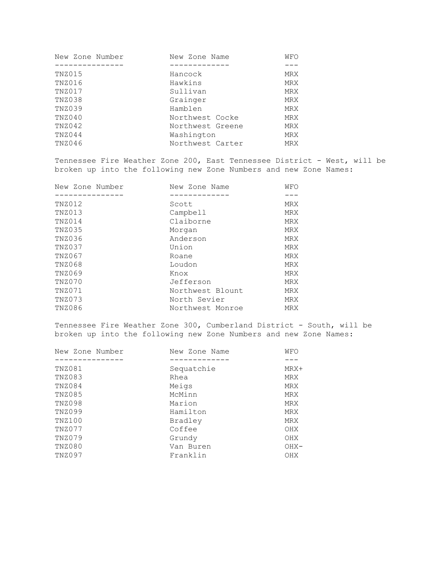| New Zone Number | New Zone Name    | WFO        |
|-----------------|------------------|------------|
|                 |                  |            |
| TNZ015          | Hancock          | <b>MRX</b> |
| TNZ016          | Hawkins          | <b>MRX</b> |
| TNZ017          | Sullivan         | <b>MRX</b> |
| TNZ038          | Grainger         | <b>MRX</b> |
| TNZ039          | Hamblen          | <b>MRX</b> |
| TNZ040          | Northwest Cocke  | <b>MRX</b> |
| TNZ042          | Northwest Greene | <b>MRX</b> |
| TNZ044          | Washington       | <b>MRX</b> |
| TNZ046          | Northwest Carter | <b>MRX</b> |
|                 |                  |            |

Tennessee Fire Weather Zone 200, East Tennessee District - West, will be broken up into the following new Zone Numbers and new Zone Names:

| New Zone Number | New Zone Name    | WFO        |
|-----------------|------------------|------------|
|                 |                  |            |
| TNZ012          | Scott            | <b>MRX</b> |
| TNZ013          | Campbell         | <b>MRX</b> |
| TNZ014          | Claiborne        | <b>MRX</b> |
| TNZ035          | Morgan           | <b>MRX</b> |
| TNZ036          | Anderson         | <b>MRX</b> |
| TNZ037          | Union            | <b>MRX</b> |
| TNZ067          | Roane            | <b>MRX</b> |
| TNZ068          | Loudon           | <b>MRX</b> |
| TNZ069          | Knox             | <b>MRX</b> |
| TNZ070          | Jefferson        | <b>MRX</b> |
| TNZ071          | Northwest Blount | <b>MRX</b> |
| TNZ073          | North Sevier     | <b>MRX</b> |
| TNZ086          | Northwest Monroe | <b>MRX</b> |

Tennessee Fire Weather Zone 300, Cumberland District - South, will be broken up into the following new Zone Numbers and new Zone Names:

| New Zone Number | New Zone Name | WFO        |
|-----------------|---------------|------------|
|                 |               |            |
| TNZ081          | Sequatchie    | MRX+       |
| TNZ083          | Rhea          | MRX        |
| TNZ084          | Meigs         | MRX        |
| TNZ085          | McMinn        | MRX        |
| TNZ098          | Marion        | MRX        |
| TNZ099          | Hamilton      | <b>MRX</b> |
| TNZ100          | Bradley       | <b>MRX</b> |
| TNZ077          | Coffee        | OHX        |
| TNZ079          | Grundy        | OHX        |
| TNZ080          | Van Buren     | $OHX-$     |
| TNZ097          | Franklin      | <b>OHX</b> |
|                 |               |            |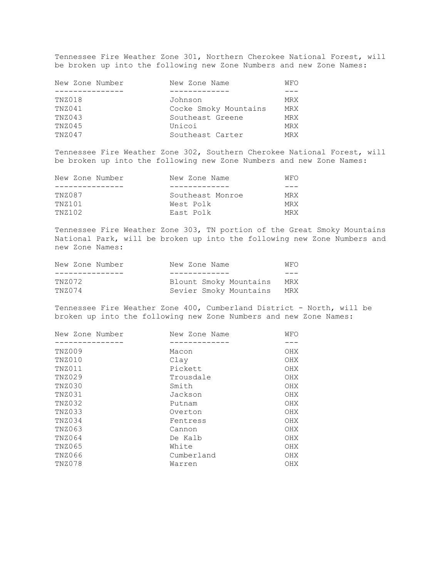Tennessee Fire Weather Zone 301, Northern Cherokee National Forest, will be broken up into the following new Zone Numbers and new Zone Names:

| New Zone Number | New Zone Name         | WFO        |
|-----------------|-----------------------|------------|
|                 |                       |            |
| TNZ018          | Johnson               | MRX        |
| TNZ041          | Cocke Smoky Mountains | <b>MRX</b> |
| TNZ043          | Southeast Greene      | <b>MRX</b> |
| TNZ045          | Unicoi                | <b>MRX</b> |
| TNZ047          | Southeast Carter      | <b>MRX</b> |
|                 |                       |            |

Tennessee Fire Weather Zone 302, Southern Cherokee National Forest, will be broken up into the following new Zone Numbers and new Zone Names:

| New Zone Number | New Zone Name    | WFO |
|-----------------|------------------|-----|
|                 |                  |     |
| TNZ087          | Southeast Monroe | MRX |
| TNZ101          | West Polk        | MRX |
| TNZ102          | East Polk        | MRX |

Tennessee Fire Weather Zone 303, TN portion of the Great Smoky Mountains National Park, will be broken up into the following new Zone Numbers and new Zone Names:

| New Zone Number | New Zone Name          | WFO |
|-----------------|------------------------|-----|
|                 |                        |     |
| TNZ072          | Blount Smoky Mountains | MRX |
| TNZ074          | Sevier Smoky Mountains | MRX |

Tennessee Fire Weather Zone 400, Cumberland District - North, will be broken up into the following new Zone Numbers and new Zone Names:

| New Zone Number | New Zone Name | WFO |
|-----------------|---------------|-----|
|                 |               |     |
| TNZ009          | Macon         | OHX |
| TNZ010          | Clay          | OHX |
| TNZ011          | Pickett       | OHX |
| TNZ029          | Trousdale     | OHX |
| TNZ030          | Smith         | OHX |
| TNZ031          | Jackson       | OHX |
| TNZ032          | Putnam        | OHX |
| TNZ033          | Overton       | OHX |
| TNZ034          | Fentress      | OHX |
| TNZ063          | Cannon        | OHX |
| TNZ064          | De Kalb       | OHX |
| TNZ065          | White         | OHX |
| TNZ066          | Cumberland    | OHX |
| TNZ078          | Warren        | OHX |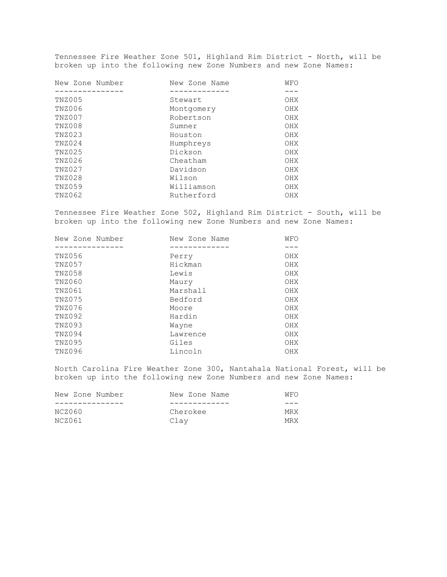Tennessee Fire Weather Zone 501, Highland Rim District - North, will be broken up into the following new Zone Numbers and new Zone Names:

| New Zone Number | New Zone Name | WFO |
|-----------------|---------------|-----|
|                 |               |     |
| TNZ005          | Stewart       | OHX |
| TNZ006          | Montgomery    | OHX |
| TNZ007          | Robertson     | OHX |
| TNZ008          | Sumner        | OHX |
| TNZ023          | Houston       | OHX |
| TNZ024          | Humphreys     | OHX |
| TNZ025          | Dickson       | OHX |
| TNZ026          | Cheatham      | OHX |
| TNZ027          | Davidson      | OHX |
| TNZ028          | Wilson        | OHX |
| TNZ059          | Williamson    | OHX |
| TNZ062          | Rutherford    | OHX |
|                 |               |     |

Tennessee Fire Weather Zone 502, Highland Rim District - South, will be broken up into the following new Zone Numbers and new Zone Names:

| New Zone Number | New Zone Name | WFO |
|-----------------|---------------|-----|
|                 |               |     |
| TNZ056          | Perry         | OHX |
| TNZ057          | Hickman       | OHX |
| TNZ058          | Lewis         | OHX |
| TNZ060          | Maury         | OHX |
| TNZ061          | Marshall      | OHX |
| TNZ075          | Bedford       | OHX |
| TNZ076          | Moore         | OHX |
| TNZ092          | Hardin        | OHX |
| TNZ093          | Wayne         | OHX |
| TNZ094          | Lawrence      | OHX |
| TNZ095          | Giles         | OHX |
| TNZ096          | Lincoln       | OHX |
|                 |               |     |

North Carolina Fire Weather Zone 300, Nantahala National Forest, will be broken up into the following new Zone Numbers and new Zone Names:

| New Zone Number | New Zone Name | WFO        |
|-----------------|---------------|------------|
|                 |               |            |
| NCZ060          | Cherokee      | <b>MRX</b> |
| NCZ061          | Clav          | <b>MRX</b> |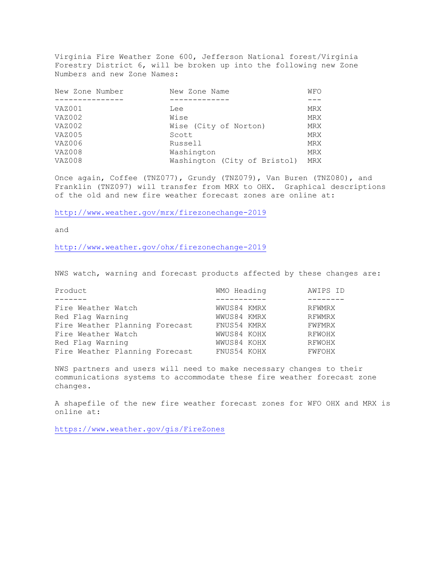Virginia Fire Weather Zone 600, Jefferson National forest/Virginia Forestry District 6, will be broken up into the following new Zone Numbers and new Zone Names:

| New Zone Number | New Zone Name                | WFO        |
|-----------------|------------------------------|------------|
|                 |                              |            |
| VAZ001          | Lee                          | MRX        |
| VAZ002          | Wise                         | <b>MRX</b> |
| VAZ002          | Wise (City of Norton)        | MRX        |
| VAZ005          | Scott                        | MRX        |
| VAZ006          | Russell                      | MRX        |
| VAZ008          | Washington                   | MRX        |
| VAZ008          | Washington (City of Bristol) | <b>MRX</b> |

Once again, Coffee (TNZ077), Grundy (TNZ079), Van Buren (TNZ080), and Franklin (TNZ097) will transfer from MRX to OHX. Graphical descriptions of the old and new fire weather forecast zones are online at:

<http://www.weather.gov/mrx/firezonechange-2019>

and

<http://www.weather.gov/ohx/firezonechange-2019>

NWS watch, warning and forecast products affected by these changes are:

| Product                        | WMO Heading | AWIPS ID |
|--------------------------------|-------------|----------|
|                                |             |          |
| Fire Weather Watch             | WWUS84 KMRX | RFWMRX   |
| Red Flag Warning               | WWUS84 KMRX | RFWMRX   |
| Fire Weather Planning Forecast | FNUS54 KMRX | FWFMRX   |
| Fire Weather Watch             | WWUS84 KOHX | RFWOHX   |
| Red Flag Warning               | WWUS84 KOHX | RFWOHX   |
| Fire Weather Planning Forecast | FNUS54 KOHX | FWFOHX   |

NWS partners and users will need to make necessary changes to their communications systems to accommodate these fire weather forecast zone changes.

A shapefile of the new fire weather forecast zones for WFO OHX and MRX is online at:

<https://www.weather.gov/gis/FireZones>